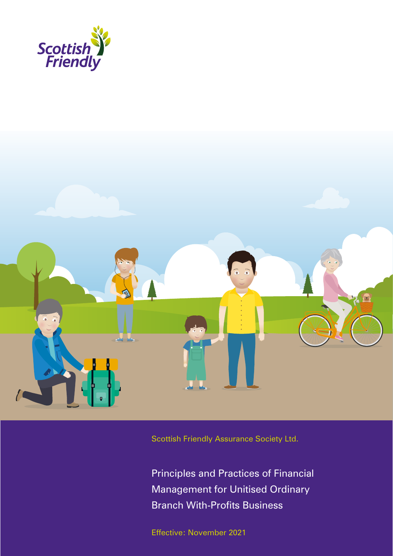



Scottish Friendly Assurance Society Ltd.

Principles and Practices of Financial Management for Unitised Ordinary Branch With-Profits Business

Effective: November 2021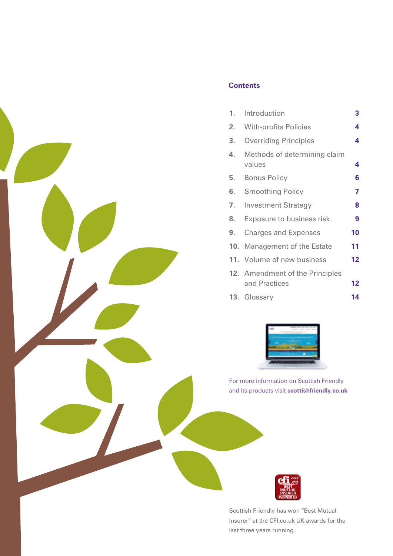

# **Contents**

| 1.  | Introduction                                            | 3               |
|-----|---------------------------------------------------------|-----------------|
| 2.  | <b>With-profits Policies</b>                            | 4               |
| 3.  | <b>Overriding Principles</b>                            | 4               |
| 4.  | Methods of determining claim<br>values                  | 4               |
| 5.  | <b>Bonus Policy</b>                                     | 6               |
| 6.  | <b>Smoothing Policy</b>                                 | 7               |
| 7.  | <b>Investment Strategy</b>                              | 8               |
| 8.  | Exposure to business risk                               | 9               |
| 9.  | <b>Charges and Expenses</b>                             | 10              |
| 10. | Management of the Estate                                | 11              |
|     | 11. Volume of new business                              | 12 <sub>2</sub> |
|     | <b>12.</b> Amendment of the Principles<br>and Practices | $12 \,$         |
| 13. | Glossary                                                | 14              |



For more information on Scottish Friendly and its products visit **scottishfriendly.co.uk** 



Scottish Friendly has won "Best Mutual Insurer" at the CFI.co.uk UK awards for the last three years running.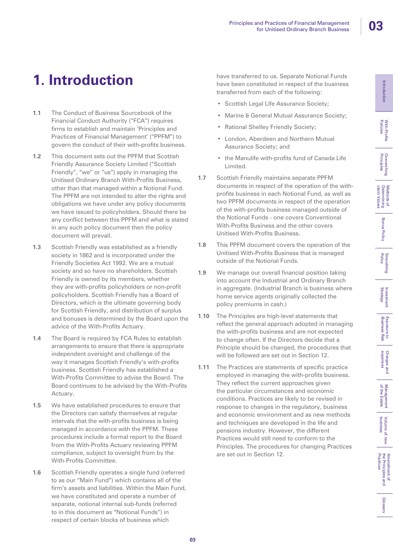Glossary

# **1. Introduction**

- **1.1** The Conduct of Business Sourcebook of the Financial Conduct Authority ("FCA") requires firms to establish and maintain 'Principles and Practices of Financial Management' ("PPFM") to govern the conduct of their with-profits business.
- **1.2** This document sets out the PPFM that Scottish Friendly Assurance Society Limited ("Scottish Friendly", "we" or "us") apply in managing the Unitised Ordinary Branch With-Profits Business, other than that managed within a Notional Fund. The PPFM are not intended to alter the rights and obligations we have under any policy documents we have issued to policyholders. Should there be any conflict between this PPFM and what is stated in any such policy document then the policy document will prevail.
- **1.3** Scottish Friendly was established as a friendly society in 1862 and is incorporated under the Friendly Societies Act 1992. We are a mutual society and so have no shareholders. Scottish Friendly is owned by its members, whether they are with-profits policyholders or non-profit policyholders. Scottish Friendly has a Board of Directors, which is the ultimate governing body for Scottish Friendly, and distribution of surplus and bonuses is determined by the Board upon the advice of the With-Profits Actuary.
- **1.4** The Board is required by FCA Rules to establish arrangements to ensure that there is appropriate independent oversight and challenge of the way it manages Scottish Friendly's with-profits business. Scottish Friendly has established a With-Profits Committee to advise the Board. The Board continues to be advised by the With-Profits Actuary.
- **1.5** We have established procedures to ensure that the Directors can satisfy themselves at regular intervals that the with-profits business is being managed in accordance with the PPFM. These procedures include a formal report to the Board from the With-Profits Actuary reviewing PPFM compliance, subject to oversight from by the With-Profits Committee.
- **1.6** Scottish Friendly operates a single fund (referred to as our "Main Fund") which contains all of the firm's assets and liabilities. Within the Main Fund, we have constituted and operate a number of separate, notional internal sub-funds (referred to in this document as "Notional Funds") in respect of certain blocks of business which

have transferred to us. Separate Notional Funds have been constituted in respect of the business transferred from each of the following:

- Scottish Legal Life Assurance Society;
- Marine & General Mutual Assurance Society;
- Rational Shelley Friendly Society;
- London, Aberdeen and Northern Mutual Assurance Society; and
- the Manulife with-profits fund of Canada Life Limited.
- **1.7** Scottish Friendly maintains separate PPFM documents in respect of the operation of the withprofits business in each Notional Fund, as well as two PPFM documents in respect of the operation of the with-profits business managed outside of the Notional Funds - one covers Conventional With-Profits Business and the other covers Unitised With-Profits Business.
- **1.8** This PPFM document covers the operation of the Unitised With-Profits Business that is managed outside of the Notional Funds.
- **1.9** We manage our overall financial position taking into account the Industrial and Ordinary Branch in aggregate. (Industrial Branch is business where home service agents originally collected the policy premiums in cash.)
- **1.10** The Principles are high-level statements that reflect the general approach adopted in managing the with-profits business and are not expected to change often. If the Directors decide that a Principle should be changed, the procedures that will be followed are set out in Section 12.
- **1.11** The Practices are statements of specific practice employed in managing the with-profits business. They reflect the current approaches given the particular circumstances and economic conditions. Practices are likely to be revised in response to changes in the regulatory, business and economic environment and as new methods and techniques are developed in the life and pensions industry. However, the different Practices would still need to conform to the Principles. The procedures for changing Practices are set out in Section 12.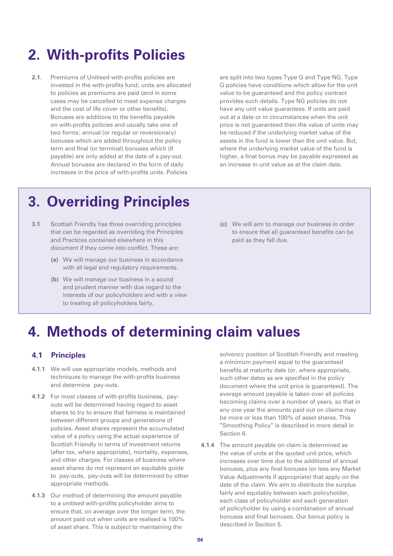# **2. With-profits Policies**

**2.1.** Premiums of Unitised with-profits policies are invested in the with-profits fund; units are allocated to policies as premiums are paid (and in some cases may be cancelled to meet expense charges and the cost of life cover or other benefits). Bonuses are additions to the benefits payable on with-profits policies and usually take one of two forms: annual (or regular or reversionary) bonuses which are added throughout the policy term and final (or terminal) bonuses which (if payable) are only added at the date of a pay-out. Annual bonuses are declared in the form of daily increases in the price of with-profits units. Policies

are split into two types Type G and Type NG. Type G policies have conditions which allow for the unit value to be guaranteed and the policy contract provides such details. Type NG policies do not have any unit value guarantees. If units are paid out at a date or in circumstances when the unit price is not guaranteed then the value of units may be reduced if the underlying market value of the assets in the fund is lower than the unit value. But, where the underlying market value of the fund is higher, a final bonus may be payable expressed as an increase in unit value as at the claim date.

# **3. Overriding Principles**

- **3.1** Scottish Friendly has three overriding principles that can be regarded as overriding the Principles and Practices contained elsewhere in this document if they come into conflict. These are:
	- **(a)** We will manage our business in accordance with all legal and regulatory requirements.
	- **(b)** We will manage our business in a sound and prudent manner with due regard to the interests of our policyholders and with a view to treating all policyholders fairly.
- **(c)** We will aim to manage our business in order to ensure that all guaranteed benefits can be paid as they fall due.

# **4. Methods of determining claim values**

### **4.1 Principles**

- **4.1.1** We will use appropriate models, methods and techniques to manage the with-profits business and determine pay-outs.
- **4.1.2** For most classes of with-profits business, payouts will be determined having regard to asset shares to try to ensure that fairness is maintained between different groups and generations of policies. Asset shares represent the accumulated value of a policy using the actual experience of Scottish Friendly in terms of investment returns (after tax, where appropriate), mortality, expenses, and other charges. For classes of business where asset shares do not represent an equitable guide to pay-outs, pay-outs will be determined by other appropriate methods.
- **4.1.3** Our method of determining the amount payable to a unitised with-profits policyholder aims to ensure that, on average over the longer term, the amount paid out when units are realised is 100% of asset share. This is subject to maintaining the

solvency position of Scottish Friendly and meeting a minimum payment equal to the guaranteed benefits at maturity date (or, where appropriate, such other dates as are specified in the policy document where the unit price is guaranteed). The average amount payable is taken over all policies becoming claims over a number of years, so that in any one year the amounts paid out on claims may be more or less than 100% of asset shares. This "Smoothing Policy" is described in more detail in Section 6.

**4.1.4** The amount payable on claim is determined as the value of units at the quoted unit price, which increases over time due to the additional of annual bonuses, plus any final bonuses (or less any Market Value Adjustments if appropriate) that apply on the date of the claim. We aim to distribute the surplus fairly and equitably between each policyholder, each class of policyholder and each generation of policyholder by using a combination of annual bonuses and final bonuses. Our bonus policy is described in Section 5.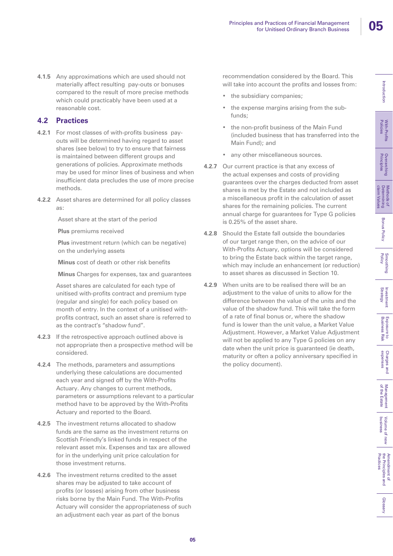With-Profits<br>Policies

**Overarching**<br>Principles

Methods of<br>Determining<br>claim Values

**Bonus Policy** 

Smoothing<br>Policy

Investment<br>Strategy

Exposure<br>Business F to<br>Risk

Charges and<br>expenses

**4.1.5** Any approximations which are used should not materially affect resulting pay-outs or bonuses compared to the result of more precise methods which could practicably have been used at a reasonable cost.

## **4.2 Practices**

- **4.2.1** For most classes of with-profits business payouts will be determined having regard to asset shares (see below) to try to ensure that fairness is maintained between different groups and generations of policies. Approximate methods may be used for minor lines of business and when insufficient data precludes the use of more precise methods.
- **4.2.2** Asset shares are determined for all policy classes as:

Asset share at the start of the period

**Plus** premiums received

**Plus** investment return (which can be negative) on the underlying assets

**Minus** cost of death or other risk benefits

**Minus** Charges for expenses, tax and guarantees

Asset shares are calculated for each type of unitised with-profits contract and premium type (regular and single) for each policy based on month of entry. In the context of a unitised withprofits contract, such an asset share is referred to as the contract's "shadow fund".

- **4.2.3** If the retrospective approach outlined above is not appropriate then a prospective method will be considered.
- **4.2.4** The methods, parameters and assumptions underlying these calculations are documented each year and signed off by the With-Profits Actuary. Any changes to current methods, parameters or assumptions relevant to a particular method have to be approved by the With-Profits Actuary and reported to the Board.
- **4.2.5** The investment returns allocated to shadow funds are the same as the investment returns on Scottish Friendly's linked funds in respect of the relevant asset mix. Expenses and tax are allowed for in the underlying unit price calculation for those investment returns.
- **4.2.6** The investment returns credited to the asset shares may be adjusted to take account of profits (or losses) arising from other business risks borne by the Main Fund. The With-Profits Actuary will consider the appropriateness of such an adjustment each year as part of the bonus

recommendation considered by the Board. This will take into account the profits and losses from:

- the subsidiary companies;
- the expense margins arising from the subfunds;
- the non-profit business of the Main Fund (included business that has transferred into the Main Fund); and
- any other miscellaneous sources.
- **4.2.7** Our current practice is that any excess of the actual expenses and costs of providing guarantees over the charges deducted from asset shares is met by the Estate and not included as a miscellaneous profit in the calculation of asset shares for the remaining policies. The current annual charge for guarantees for Type G policies is 0.25% of the asset share.
- **4.2.8** Should the Estate fall outside the boundaries of our target range then, on the advice of our With-Profits Actuary, options will be considered to bring the Estate back within the target range, which may include an enhancement (or reduction) to asset shares as discussed in Section 10.
- **4.2.9** When units are to be realised there will be an adjustment to the value of units to allow for the difference between the value of the units and the value of the shadow fund. This will take the form of a rate of final bonus or, where the shadow fund is lower than the unit value, a Market Value Adjustment. However, a Market Value Adjustment will not be applied to any Type G policies on any date when the unit price is guaranteed (ie death, maturity or often a policy anniversary specified in the policy document).

of the Estate Management

Management<br>of the Estate

business

Practices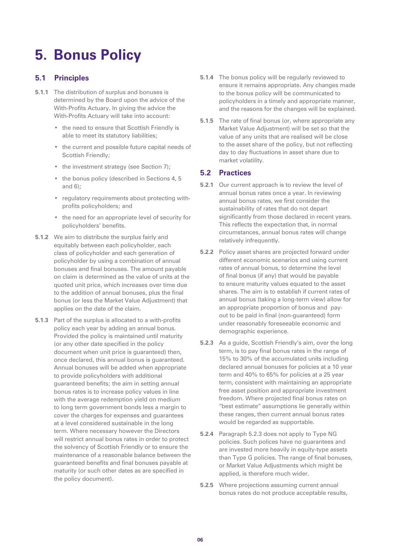# **5. Bonus Policy**

## **5.1 Principles**

- **5.1.1** The distribution of surplus and bonuses is determined by the Board upon the advice of the With-Profits Actuary. In giving the advice the With-Profits Actuary will take into account:
	- the need to ensure that Scottish Friendly is able to meet its statutory liabilities;
	- the current and possible future capital needs of Scottish Friendly;
	- the investment strategy (see Section 7);
	- the bonus policy (described in Sections 4, 5 and 6);
	- regulatory requirements about protecting withprofits policyholders; and
	- the need for an appropriate level of security for policyholders' benefits.
- **5.1.2** We aim to distribute the surplus fairly and equitably between each policyholder, each class of policyholder and each generation of policyholder by using a combination of annual bonuses and final bonuses. The amount payable on claim is determined as the value of units at the quoted unit price, which increases over time due to the addition of annual bonuses, plus the final bonus (or less the Market Value Adjustment) that applies on the date of the claim.
- **5.1.3** Part of the surplus is allocated to a with-profits policy each year by adding an annual bonus. Provided the policy is maintained until maturity (or any other date specified in the policy document when unit price is guaranteed) then, once declared, this annual bonus is guaranteed. Annual bonuses will be added when appropriate to provide policyholders with additional guaranteed benefits; the aim in setting annual bonus rates is to increase policy values in line with the average redemption yield on medium to long term government bonds less a margin to cover the charges for expenses and guarantees at a level considered sustainable in the long term. Where necessary however the Directors will restrict annual bonus rates in order to protect the solvency of Scottish Friendly or to ensure the maintenance of a reasonable balance between the guaranteed benefits and final bonuses payable at maturity (or such other dates as are specified in the policy document).
- **5.1.4** The bonus policy will be regularly reviewed to ensure it remains appropriate. Any changes made to the bonus policy will be communicated to policyholders in a timely and appropriate manner, and the reasons for the changes will be explained.
- **5.1.5** The rate of final bonus (or, where appropriate any Market Value Adjustment) will be set so that the value of any units that are realised will be close to the asset share of the policy, but not reflecting day to day fluctuations in asset share due to market volatility.

## **5.2 Practices**

- **5.2.1** Our current approach is to review the level of annual bonus rates once a year. In reviewing annual bonus rates, we first consider the sustainability of rates that do not depart significantly from those declared in recent years. This reflects the expectation that, in normal circumstances, annual bonus rates will change relatively infrequently.
- **5.2.2** Policy asset shares are projected forward under different economic scenarios and using current rates of annual bonus, to determine the level of final bonus (if any) that would be payable to ensure maturity values equated to the asset shares. The aim is to establish if current rates of annual bonus (taking a long-term view) allow for an appropriate proportion of bonus and payout to be paid in final (non-guaranteed) form under reasonably foreseeable economic and demographic experience.
- **5.2.3** As a guide, Scottish Friendly's aim, over the long term, is to pay final bonus rates in the range of 15% to 30% of the accumulated units including declared annual bonuses for policies at a 10 year term and 40% to 65% for policies at a 25 year term, consistent with maintaining an appropriate free asset position and appropriate investment freedom. Where projected final bonus rates on "best estimate" assumptions lie generally within these ranges, then current annual bonus rates would be regarded as supportable.
- **5.2.4** Paragraph 5.2.3 does not apply to Type NG policies. Such polices have no guarantees and are invested more heavily in equity-type assets than Type G policies. The range of final bonuses, or Market Value Adjustments which might be applied, is therefore much wider.
- **5.2.5** Where projections assuming current annual bonus rates do not produce acceptable results,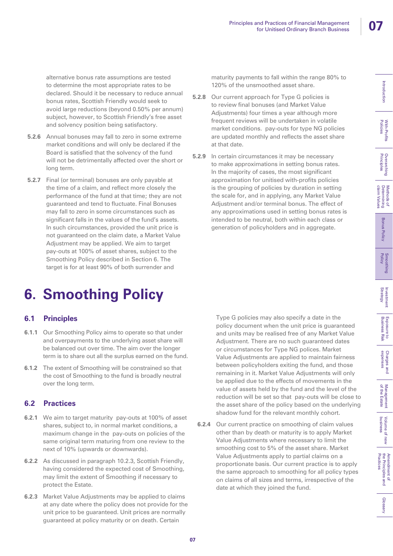With-Profits<br>Policies

**Overarching**<br>Principles

Methods of<br>Determining<br>claim Values

**Bonus Policy** 

Smoothing<br>Policy

Investment<br>Strategy

Exposure<br>Business F to<br>Risk

Charges and<br>expenses

Introduction

alternative bonus rate assumptions are tested to determine the most appropriate rates to be declared. Should it be necessary to reduce annual bonus rates, Scottish Friendly would seek to avoid large reductions (beyond 0.50% per annum) subject, however, to Scottish Friendly's free asset and solvency position being satisfactory.

- **5.2.6** Annual bonuses may fall to zero in some extreme market conditions and will only be declared if the Board is satisfied that the solvency of the fund will not be detrimentally affected over the short or long term.
- **5.2.7** Final (or terminal) bonuses are only payable at the time of a claim, and reflect more closely the performance of the fund at that time; they are not guaranteed and tend to fluctuate. Final Bonuses may fall to zero in some circumstances such as significant falls in the values of the fund's assets. In such circumstances, provided the unit price is not guaranteed on the claim date, a Market Value Adjustment may be applied. We aim to target pay-outs at 100% of asset shares, subject to the Smoothing Policy described in Section 6. The target is for at least 90% of both surrender and

# **6. Smoothing Policy**

## **6.1 Principles**

- **6.1.1** Our Smoothing Policy aims to operate so that under and overpayments to the underlying asset share will be balanced out over time. The aim over the longer term is to share out all the surplus earned on the fund.
- **6.1.2** The extent of Smoothing will be constrained so that the cost of Smoothing to the fund is broadly neutral over the long term.

# **6.2 Practices**

- **6.2.1** We aim to target maturity pay-outs at 100% of asset shares, subject to, in normal market conditions, a maximum change in the pay-outs on policies of the same original term maturing from one review to the next of 10% (upwards or downwards).
- **6.2.2** As discussed in paragraph 10.2.3, Scottish Friendly, having considered the expected cost of Smoothing, may limit the extent of Smoothing if necessary to protect the Estate.
- **6.2.3** Market Value Adjustments may be applied to claims at any date where the policy does not provide for the unit price to be guaranteed. Unit prices are normally guaranteed at policy maturity or on death. Certain

maturity payments to fall within the range 80% to 120% of the unsmoothed asset share.

- **5.2.8** Our current approach for Type G policies is to review final bonuses (and Market Value Adjustments) four times a year although more frequent reviews will be undertaken in volatile market conditions. pay-outs for type NG policies are updated monthly and reflects the asset share at that date.
- **5.2.9** In certain circumstances it may be necessary to make approximations in setting bonus rates. In the majority of cases, the most significant approximation for unitised with-profits policies is the grouping of policies by duration in setting the scale for, and in applying, any Market Value Adjustment and/or terminal bonus. The effect of any approximations used in setting bonus rates is intended to be neutral, both within each class or generation of policyholders and in aggregate.

Type G policies may also specify a date in the policy document when the unit price is guaranteed and units may be realised free of any Market Value Adjustment. There are no such guaranteed dates or circumstances for Type NG polices. Market Value Adjustments are applied to maintain fairness between policyholders exiting the fund, and those remaining in it. Market Value Adjustments will only be applied due to the effects of movements in the value of assets held by the fund and the level of the reduction will be set so that pay-outs will be close to the asset share of the policy based on the underlying shadow fund for the relevant monthly cohort.

**6.2.4** Our current practice on smoothing of claim values other than by death or maturity is to apply Market Value Adjustments where necessary to limit the smoothing cost to 5% of the asset share. Market Value Adjustments apply to partial claims on a proportionate basis. Our current practice is to apply the same approach to smoothing for all policy types on claims of all sizes and terms, irrespective of the date at which they joined the fund.

of the Estate Management

Management<br>of the Estate

business Volume of new

Volume of new<br>business

Practices the Principles and Amendment of

Amendment of<br>the Principles and<br>Practices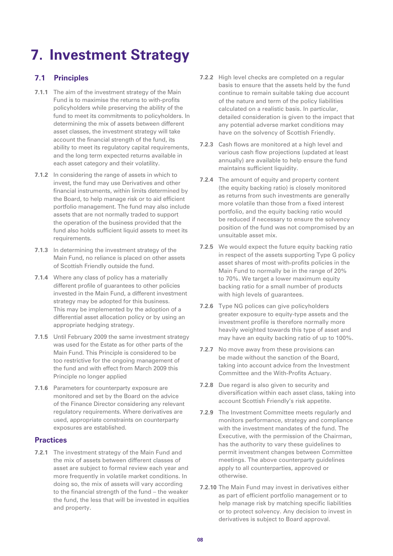# **7. Investment Strategy**

# **7.1 Principles**

- **7.1.1** The aim of the investment strategy of the Main Fund is to maximise the returns to with-profits policyholders while preserving the ability of the fund to meet its commitments to policyholders. In determining the mix of assets between different asset classes, the investment strategy will take account the financial strength of the fund, its ability to meet its regulatory capital requirements, and the long term expected returns available in each asset category and their volatility.
- **7.1.2** In considering the range of assets in which to invest, the fund may use Derivatives and other financial instruments, within limits determined by the Board, to help manage risk or to aid efficient portfolio management. The fund may also include assets that are not normally traded to support the operation of the business provided that the fund also holds sufficient liquid assets to meet its requirements.
- **7.1.3** In determining the investment strategy of the Main Fund, no reliance is placed on other assets of Scottish Friendly outside the fund.
- **7.1.4** Where any class of policy has a materially different profile of guarantees to other policies invested in the Main Fund, a different investment strategy may be adopted for this business. This may be implemented by the adoption of a differential asset allocation policy or by using an appropriate hedging strategy.
- **7.1.5** Until February 2009 the same investment strategy was used for the Estate as for other parts of the Main Fund. This Principle is considered to be too restrictive for the ongoing management of the fund and with effect from March 2009 this Principle no longer applied
- **7.1.6** Parameters for counterparty exposure are monitored and set by the Board on the advice of the Finance Director considering any relevant regulatory requirements. Where derivatives are used, appropriate constraints on counterparty exposures are established.

### **Practices**

**7.2.1** The investment strategy of the Main Fund and the mix of assets between different classes of asset are subject to formal review each year and more frequently in volatile market conditions. In doing so, the mix of assets will vary according to the financial strength of the fund – the weaker the fund, the less that will be invested in equities and property.

- **7.2.2** High level checks are completed on a regular basis to ensure that the assets held by the fund continue to remain suitable taking due account of the nature and term of the policy liabilities calculated on a realistic basis. In particular, detailed consideration is given to the impact that any potential adverse market conditions may have on the solvency of Scottish Friendly.
- **7.2.3** Cash flows are monitored at a high level and various cash flow projections (updated at least annually) are available to help ensure the fund maintains sufficient liquidity.
- **7.2.4** The amount of equity and property content (the equity backing ratio) is closely monitored as returns from such investments are generally more volatile than those from a fixed interest portfolio, and the equity backing ratio would be reduced if necessary to ensure the solvency position of the fund was not compromised by an unsuitable asset mix.
- **7.2.5** We would expect the future equity backing ratio in respect of the assets supporting Type G policy asset shares of most with-profits policies in the Main Fund to normally be in the range of 20% to 70%. We target a lower maximum equity backing ratio for a small number of products with high levels of guarantees.
- **7.2.6** Type NG polices can give policyholders greater exposure to equity-type assets and the investment profile is therefore normally more heavily weighted towards this type of asset and may have an equity backing ratio of up to 100%.
- **7.2.7** No move away from these provisions can be made without the sanction of the Board, taking into account advice from the Investment Committee and the With-Profits Actuary.
- **7.2.8** Due regard is also given to security and diversification within each asset class, taking into account Scottish Friendly's risk appetite.
- **7.2.9** The Investment Committee meets regularly and monitors performance, strategy and compliance with the investment mandates of the fund. The Executive, with the permission of the Chairman, has the authority to vary these guidelines to permit investment changes between Committee meetings. The above counterparty guidelines apply to all counterparties, approved or otherwise.
- **7.2.10** The Main Fund may invest in derivatives either as part of efficient portfolio management or to help manage risk by matching specific liabilities or to protect solvency. Any decision to invest in derivatives is subject to Board approval.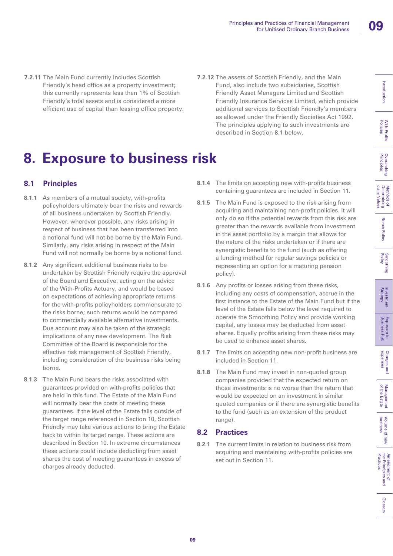With-Profits<br>Policies

**Overarching**<br>Principles

Methods of<br>Determining<br>claim Values

**Bonus Policy** 

Smoothing<br>Policy

Investment<br>Strategy

Exposure to<br>Business Risk

Charges and<br>expenses

Introduction

- **7.2.11** The Main Fund currently includes Scottish Friendly's head office as a property investment; this currently represents less than 1% of Scottish Friendly's total assets and is considered a more efficient use of capital than leasing office property.
- **7.2.12** The assets of Scottish Friendly, and the Main Fund, also include two subsidiaries, Scottish Friendly Asset Managers Limited and Scottish Friendly Insurance Services Limited, which provide additional services to Scottish Friendly's members as allowed under the Friendly Societies Act 1992. The principles applying to such investments are described in Section 8.1 below.

# **8. Exposure to business risk**

# **8.1 Principles**

- **8.1.1** As members of a mutual society, with-profits policyholders ultimately bear the risks and rewards of all business undertaken by Scottish Friendly. However, wherever possible, any risks arising in respect of business that has been transferred into a notional fund will not be borne by the Main Fund. Similarly, any risks arising in respect of the Main Fund will not normally be borne by a notional fund.
- **8.1.2** Any significant additional business risks to be undertaken by Scottish Friendly require the approval of the Board and Executive, acting on the advice of the With-Profits Actuary, and would be based on expectations of achieving appropriate returns for the with-profits policyholders commensurate to the risks borne; such returns would be compared to commercially available alternative investments. Due account may also be taken of the strategic implications of any new development. The Risk Committee of the Board is responsible for the effective risk management of Scottish Friendly, including consideration of the business risks being borne.
- **8.1.3** The Main Fund bears the risks associated with guarantees provided on with-profits policies that are held in this fund. The Estate of the Main Fund will normally bear the costs of meeting these guarantees. If the level of the Estate falls outside of the target range referenced in Section 10, Scottish Friendly may take various actions to bring the Estate back to within its target range. These actions are described in Section 10. In extreme circumstances these actions could include deducting from asset shares the cost of meeting guarantees in excess of charges already deducted.
- **8.1.4** The limits on accepting new with-profits business containing guarantees are included in Section 11.
- **8.1.5** The Main Fund is exposed to the risk arising from acquiring and maintaining non-profit policies. It will only do so if the potential rewards from this risk are greater than the rewards available from investment in the asset portfolio by a margin that allows for the nature of the risks undertaken or if there are synergistic benefits to the fund (such as offering a funding method for regular savings policies or representing an option for a maturing pension policy).
- **8.1.6** Any profits or losses arising from these risks, including any costs of compensation, accrue in the first instance to the Estate of the Main Fund but if the level of the Estate falls below the level required to operate the Smoothing Policy and provide working capital, any losses may be deducted from asset shares. Equally profits arising from these risks may be used to enhance asset shares.
- **8.1.7** The limits on accepting new non-profit business are included in Section 11.
- **8.1.8** The Main Fund may invest in non-quoted group companies provided that the expected return on those investments is no worse than the return that would be expected on an investment in similar quoted companies or if there are synergistic benefits to the fund (such as an extension of the product range).

## **8.2 Practices**

**8.2.1** The current limits in relation to business risk from acquiring and maintaining with-profits policies are set out in Section 11.

of the Estate Management

Management<br>of the Estate

business Volume of new

Volume of new<br>business

Practices the Principles and Amendment of

Amendment of<br>the Principles and<br>Practices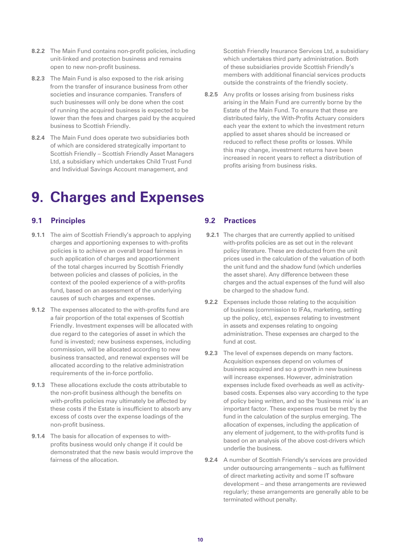- **8.2.2** The Main Fund contains non-profit policies, including unit-linked and protection business and remains open to new non-profit business.
- **8.2.3** The Main Fund is also exposed to the risk arising from the transfer of insurance business from other societies and insurance companies. Transfers of such businesses will only be done when the cost of running the acquired business is expected to be lower than the fees and charges paid by the acquired business to Scottish Friendly.
- **8.2.4** The Main Fund does operate two subsidiaries both of which are considered strategically important to Scottish Friendly – Scottish Friendly Asset Managers Ltd, a subsidiary which undertakes Child Trust Fund and Individual Savings Account management, and

# **9. Charges and Expenses**

# **9.1 Principles**

- **9.1.1** The aim of Scottish Friendly's approach to applying charges and apportioning expenses to with-profits policies is to achieve an overall broad fairness in such application of charges and apportionment of the total charges incurred by Scottish Friendly between policies and classes of policies, in the context of the pooled experience of a with-profits fund, based on an assessment of the underlying causes of such charges and expenses.
- **9.1.2** The expenses allocated to the with-profits fund are a fair proportion of the total expenses of Scottish Friendly. Investment expenses will be allocated with due regard to the categories of asset in which the fund is invested; new business expenses, including commission, will be allocated according to new business transacted, and renewal expenses will be allocated according to the relative administration requirements of the in-force portfolio.
- **9.1.3** These allocations exclude the costs attributable to the non-profit business although the benefits on with-profits policies may ultimately be affected by these costs if the Estate is insufficient to absorb any excess of costs over the expense loadings of the non-profit business.
- **9.1.4** The basis for allocation of expenses to withprofits business would only change if it could be demonstrated that the new basis would improve the fairness of the allocation.

## **9.2 Practices**

- **9.2.1** The charges that are currently applied to unitised with-profits policies are as set out in the relevant policy literature. These are deducted from the unit prices used in the calculation of the valuation of both the unit fund and the shadow fund (which underlies the asset share). Any difference between these charges and the actual expenses of the fund will also be charged to the shadow fund.
- **9.2.2** Expenses include those relating to the acquisition of business (commission to IFAs, marketing, setting up the policy, etc), expenses relating to investment in assets and expenses relating to ongoing administration. These expenses are charged to the fund at cost.
- **9.2.3** The level of expenses depends on many factors. Acquisition expenses depend on volumes of business acquired and so a growth in new business will increase expenses. However, administration expenses include fixed overheads as well as activitybased costs. Expenses also vary according to the type of policy being written, and so the 'business mix' is an important factor. These expenses must be met by the fund in the calculation of the surplus emerging. The allocation of expenses, including the application of any element of judgement, to the with-profits fund is based on an analysis of the above cost-drivers which underlie the business.
- **9.2.4** A number of Scottish Friendly's services are provided under outsourcing arrangements – such as fulfilment of direct marketing activity and some IT software development – and these arrangements are reviewed regularly; these arrangements are generally able to be terminated without penalty.

Scottish Friendly Insurance Services Ltd, a subsidiary which undertakes third party administration. Both of these subsidiaries provide Scottish Friendly's members with additional financial services products outside the constraints of the friendly society.

**8.2.5** Any profits or losses arising from business risks arising in the Main Fund are currently borne by the Estate of the Main Fund. To ensure that these are distributed fairly, the With-Profits Actuary considers each year the extent to which the investment return applied to asset shares should be increased or reduced to reflect these profits or losses. While this may change, investment returns have been increased in recent years to reflect a distribution of profits arising from business risks.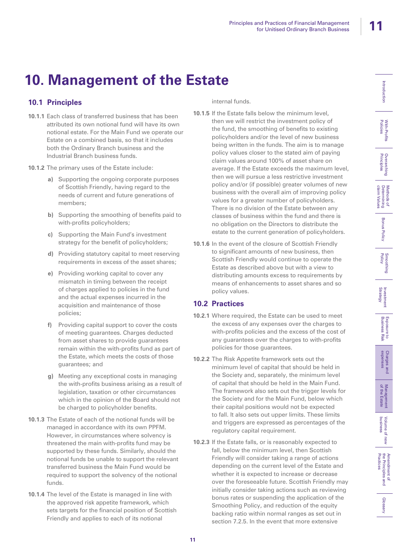# **10. Management of the Estate**

# **10.1 Principles**

- **10.1.1** Each class of transferred business that has been attributed its own notional fund will have its own notional estate. For the Main Fund we operate our Estate on a combined basis, so that it includes both the Ordinary Branch business and the Industrial Branch business funds.
- **10.1.2** The primary uses of the Estate include:
	- **a)** Supporting the ongoing corporate purposes of Scottish Friendly, having regard to the needs of current and future generations of members;
	- **b)** Supporting the smoothing of benefits paid to with-profits policyholders;
	- **c)** Supporting the Main Fund's investment strategy for the benefit of policyholders;
	- **d)** Providing statutory capital to meet reserving requirements in excess of the asset shares;
	- **e)** Providing working capital to cover any mismatch in timing between the receipt of charges applied to policies in the fund and the actual expenses incurred in the acquisition and maintenance of those policies;
	- **f)** Providing capital support to cover the costs of meeting guarantees. Charges deducted from asset shares to provide guarantees remain within the with-profits fund as part of the Estate, which meets the costs of those guarantees; and
	- **g)** Meeting any exceptional costs in managing the with-profits business arising as a result of legislation, taxation or other circumstances which in the opinion of the Board should not be charged to policyholder benefits.
- **10.1.3** The Estate of each of the notional funds will be managed in accordance with its own PPFM. However, in circumstances where solvency is threatened the main with-profits fund may be supported by these funds. Similarly, should the notional funds be unable to support the relevant transferred business the Main Fund would be required to support the solvency of the notional funds.
- **10.1.4** The level of the Estate is managed in line with the approved risk appetite framework, which sets targets for the financial position of Scottish Friendly and applies to each of its notional

internal funds.

- **10.1.5** If the Estate falls below the minimum level, then we will restrict the investment policy of the fund, the smoothing of benefits to existing policyholders and/or the level of new business being written in the funds. The aim is to manage policy values closer to the stated aim of paying claim values around 100% of asset share on average. If the Estate exceeds the maximum level, then we will pursue a less restrictive investment policy and/or (if possible) greater volumes of new business with the overall aim of improving policy values for a greater number of policyholders. There is no division of the Estate between any classes of business within the fund and there is no obligation on the Directors to distribute the estate to the current generation of policyholders.
- **10.1.6** In the event of the closure of Scottish Friendly to significant amounts of new business, then Scottish Friendly would continue to operate the Estate as described above but with a view to distributing amounts excess to requirements by means of enhancements to asset shares and so policy values.

# **10.2 Practices**

- **10.2.1** Where required, the Estate can be used to meet the excess of any expenses over the charges to with-profits policies and the excess of the cost of any guarantees over the charges to with-profits policies for those guarantees.
- **10.2.2** The Risk Appetite framework sets out the minimum level of capital that should be held in the Society and, separately, the minimum level of capital that should be held in the Main Fund. The framework also sets out the trigger levels for the Society and for the Main Fund, below which their capital positions would not be expected to fall. It also sets out upper limits. These limits and triggers are expressed as percentages of the regulatory capital requirement.
- **10.2.3** If the Estate falls, or is reasonably expected to fall, below the minimum level, then Scottish Friendly will consider taking a range of actions depending on the current level of the Estate and whether it is expected to increase or decrease over the foreseeable future. Scottish Friendly may initially consider taking actions such as reviewing bonus rates or suspending the application of the Smoothing Policy, and reduction of the equity backing ratio within normal ranges as set out in section 7.2.5. In the event that more extensive

Amendment of<br>the Principles and<br>Practices the Principles and Amendment of Practices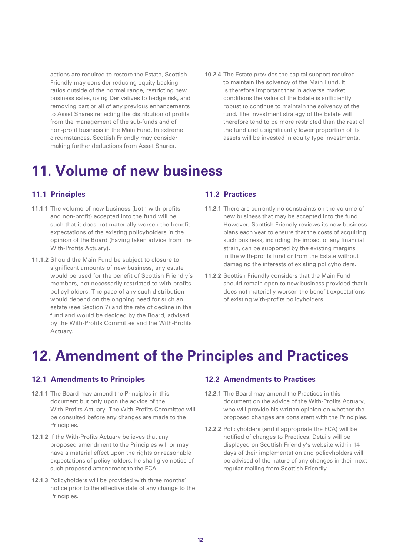actions are required to restore the Estate, Scottish Friendly may consider reducing equity backing ratios outside of the normal range, restricting new business sales, using Derivatives to hedge risk, and removing part or all of any previous enhancements to Asset Shares reflecting the distribution of profits from the management of the sub-funds and of non-profit business in the Main Fund. In extreme circumstances, Scottish Friendly may consider making further deductions from Asset Shares.

**10.2.4** The Estate provides the capital support required to maintain the solvency of the Main Fund. It is therefore important that in adverse market conditions the value of the Estate is sufficiently robust to continue to maintain the solvency of the fund. The investment strategy of the Estate will therefore tend to be more restricted than the rest of the fund and a significantly lower proportion of its assets will be invested in equity type investments.

# **11. Volume of new business**

## **11.1 Principles**

- **11.1.1** The volume of new business (both with-profits and non-profit) accepted into the fund will be such that it does not materially worsen the benefit expectations of the existing policyholders in the opinion of the Board (having taken advice from the With-Profits Actuary).
- **11.1.2** Should the Main Fund be subject to closure to significant amounts of new business, any estate would be used for the benefit of Scottish Friendly's members, not necessarily restricted to with-profits policyholders. The pace of any such distribution would depend on the ongoing need for such an estate (see Section 7) and the rate of decline in the fund and would be decided by the Board, advised by the With-Profits Committee and the With-Profits Actuary.

### **11.2 Practices**

- **11.2.1** There are currently no constraints on the volume of new business that may be accepted into the fund. However, Scottish Friendly reviews its new business plans each year to ensure that the costs of acquiring such business, including the impact of any financial strain, can be supported by the existing margins in the with-profits fund or from the Estate without damaging the interests of existing policyholders.
- **11.2.2** Scottish Friendly considers that the Main Fund should remain open to new business provided that it does not materially worsen the benefit expectations of existing with-profits policyholders.

# **12. Amendment of the Principles and Practices**

### **12.1 Amendments to Principles**

- **12.1.1** The Board may amend the Principles in this document but only upon the advice of the With-Profits Actuary. The With-Profits Committee will be consulted before any changes are made to the Principles.
- **12.1.2** If the With-Profits Actuary believes that any proposed amendment to the Principles will or may have a material effect upon the rights or reasonable expectations of policyholders, he shall give notice of such proposed amendment to the FCA.
- **12.1.3** Policyholders will be provided with three months' notice prior to the effective date of any change to the Principles.

## **12.2 Amendments to Practices**

- **12.2.1** The Board may amend the Practices in this document on the advice of the With-Profits Actuary, who will provide his written opinion on whether the proposed changes are consistent with the Principles.
- **12.2.2** Policyholders (and if appropriate the FCA) will be notified of changes to Practices. Details will be displayed on Scottish Friendly's website within 14 days of their implementation and policyholders will be advised of the nature of any changes in their next regular mailing from Scottish Friendly.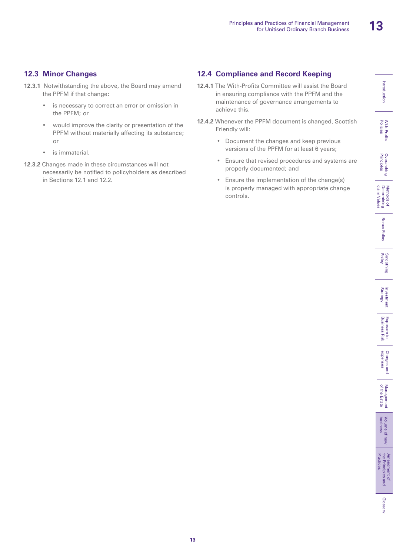With-Profits<br>Policies

**Overarching**<br>Principles

Methods of<br>Determining<br>claim Values

**Bonus Policy** 

Smoothing<br>Policy

Investment<br>Strategy

**Exposure to<br>Business Risk** 

Charges and<br>expenses

# **12.3 Minor Changes**

- **12.3.1** Notwithstanding the above, the Board may amend the PPFM if that change:
	- is necessary to correct an error or omission in the PPFM; or
	- would improve the clarity or presentation of the PPFM without materially affecting its substance; or
	- is immaterial.
- **12.3.2** Changes made in these circumstances will not necessarily be notified to policyholders as described in Sections 12.1 and 12.2.

# **12.4 Compliance and Record Keeping**

- **12.4.1** The With-Profits Committee will assist the Board in ensuring compliance with the PPFM and the maintenance of governance arrangements to achieve this.
- **12.4.2** Whenever the PPFM document is changed, Scottish Friendly will:
	- Document the changes and keep previous versions of the PPFM for at least 6 years;
	- Ensure that revised procedures and systems are properly documented; and
	- Ensure the implementation of the change(s) is properly managed with appropriate change controls.

of the Estate Management

Management<br>of the Estate

business Volume of new

Volume of r<br>business

new

Practices the Principles and Amendment of

Amendment of<br>the Principles and<br>Practices